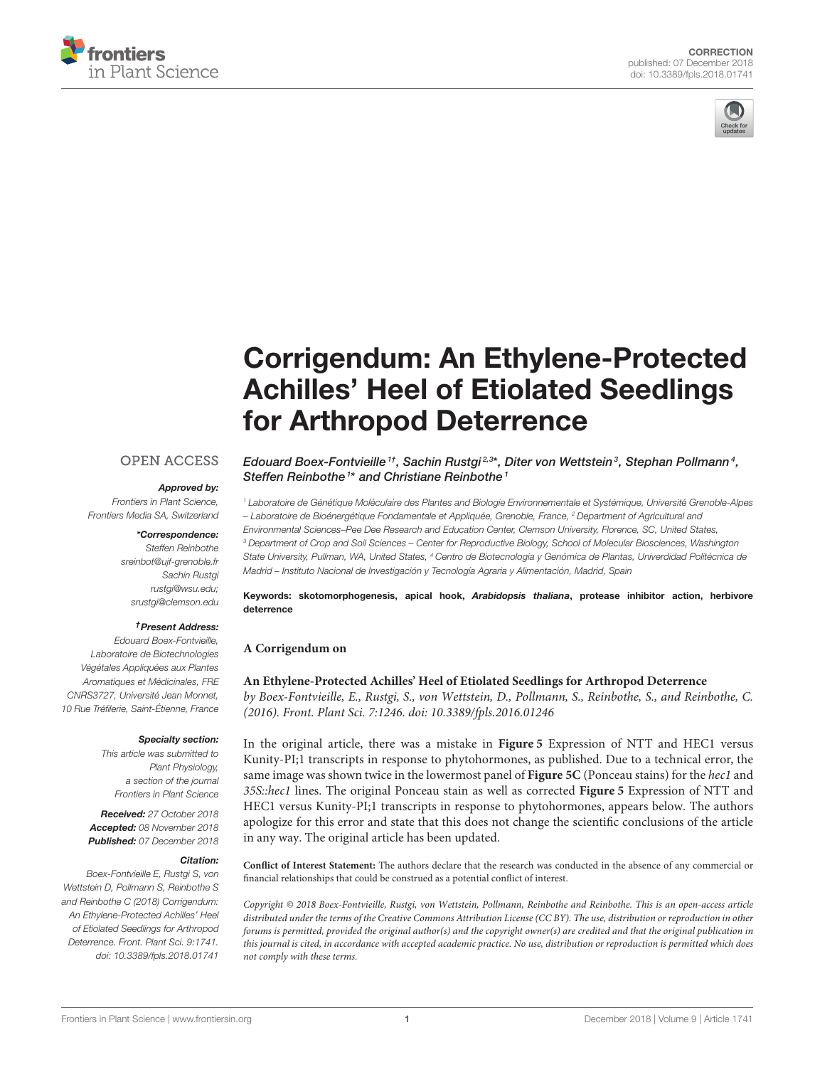



# Corrigendum: An Ethylene-Protected [Achilles' Heel of Etiolated Seedlings](https://www.frontiersin.org/articles/10.3389/fpls.2018.01741/full) for Arthropod Deterrence

## **OPEN ACCESS**

#### Approved by:

Frontiers in Plant Science, Frontiers Media SA, Switzerland

#### \*Correspondence:

Steffen Reinbothe [sreinbot@ujf-grenoble.fr](mailto:sreinbot@ujf-grenoble.fr) Sachin Rustgi [rustgi@wsu.edu;](mailto:rustgi@wsu.edu) [srustgi@clemson.edu](mailto:srustgi@clemson.edu)

#### †Present Address:

Edouard Boex-Fontvieille, Laboratoire de Biotechnologies Végétales Appliquées aux Plantes Aromatiques et Médicinales, FRE CNRS3727, Université Jean Monnet, 10 Rue Tréfilerie, Saint-Étienne, France

#### Specialty section:

This article was submitted to Plant Physiology, a section of the journal Frontiers in Plant Science

Received: 27 October 2018 Accepted: 08 November 2018 Published: 07 December 2018

#### Citation:

Boex-Fontvieille E, Rustgi S, von Wettstein D, Pollmann S, Reinbothe S and Reinbothe C (2018) Corrigendum: An Ethylene-Protected Achilles' Heel of Etiolated Seedlings for Arthropod Deterrence. Front. Plant Sci. 9:1741. doi: [10.3389/fpls.2018.01741](https://doi.org/10.3389/fpls.2018.01741)

[Edouard Boex-Fontvieille](http://loop.frontiersin.org/people/342696/overview)<sup>1†</sup>, [Sachin Rustgi](http://loop.frontiersin.org/people/55578/overview)<sup>2,3\*</sup>, [Diter von Wettstein](http://loop.frontiersin.org/people/362142/overview)<sup>3</sup>, [Stephan Pollmann](http://loop.frontiersin.org/people/25957/overview)<sup>4</sup>, [Steffen Reinbothe](http://loop.frontiersin.org/people/341566/overview)<sup>1\*</sup> and Christiane Reinbothe<sup>1</sup>

<sup>1</sup> Laboratoire de Génétique Moléculaire des Plantes and Biologie Environnementale et Systémique, Université Grenoble-Alpes – Laboratoire de Bioénergétique Fondamentale et Appliquée, Grenoble, France, <sup>2</sup> Department of Agricultural and Environmental Sciences–Pee Dee Research and Education Center, Clemson University, Florence, SC, United States, <sup>3</sup> Department of Crop and Soil Sciences – Center for Reproductive Biology, School of Molecular Biosciences, Washington State University, Pullman, WA, United States, <sup>4</sup> Centro de Biotecnología y Genómica de Plantas, Univerdidad Politécnica de Madrid – Instituto Nacional de Investigación y Tecnología Agraria y Alimentación, Madrid, Spain

Keywords: skotomorphogenesis, apical hook, Arabidopsis thaliana, protease inhibitor action, herbivore deterrence

## **A Corrigendum on**

## **[An Ethylene-Protected Achilles' Heel of Etiolated Seedlings for Arthropod Deterrence](https://doi.org/10.3389/fpls.2016.01246)**

by Boex-Fontvieille, E., Rustgi, S., von Wettstein, D., Pollmann, S., Reinbothe, S., and Reinbothe, C. (2016). Front. Plant Sci. 7:1246. doi: [10.3389/fpls.2016.01246](https://doi.org/10.3389/fpls.2016.01246)

In the original article, there was a mistake in **[Figure 5](#page-1-0)** Expression of NTT and HEC1 versus Kunity-PI;1 transcripts in response to phytohormones, as published. Due to a technical error, the same image was shown twice in the lowermost panel of **[Figure 5C](#page-1-0)** (Ponceau stains) for the hec1 and 35S::hec1 lines. The original Ponceau stain as well as corrected **[Figure 5](#page-1-0)** Expression of NTT and HEC1 versus Kunity-PI;1 transcripts in response to phytohormones, appears below. The authors apologize for this error and state that this does not change the scientific conclusions of the article in any way. The original article has been updated.

**Conflict of Interest Statement:** The authors declare that the research was conducted in the absence of any commercial or financial relationships that could be construed as a potential conflict of interest.

Copyright © 2018 Boex-Fontvieille, Rustgi, von Wettstein, Pollmann, Reinbothe and Reinbothe. This is an open-access article distributed under the terms of the [Creative Commons Attribution License \(CC BY\).](http://creativecommons.org/licenses/by/4.0/) The use, distribution or reproduction in other forums is permitted, provided the original author(s) and the copyright owner(s) are credited and that the original publication in this journal is cited, in accordance with accepted academic practice. No use, distribution or reproduction is permitted which does not comply with these terms.